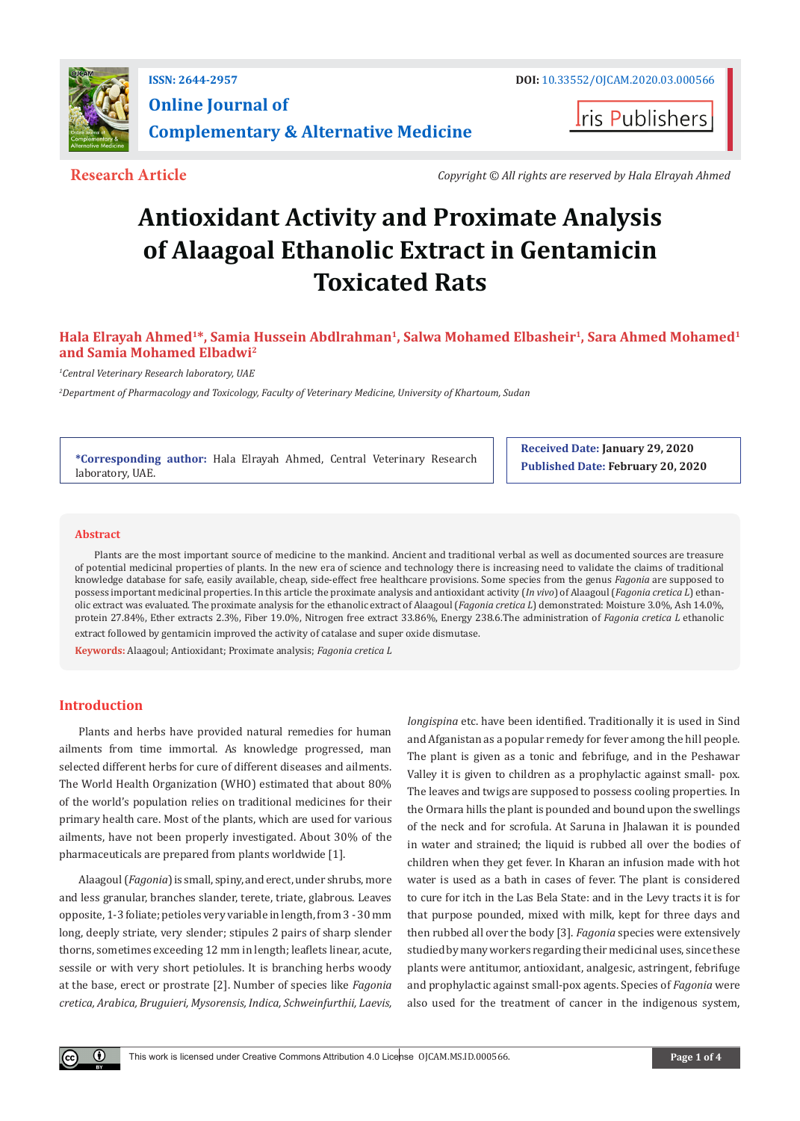

**I**ris Publishers

**Research Article** *Copyright © All rights are reserved by Hala Elrayah Ahmed*

# **Antioxidant Activity and Proximate Analysis of Alaagoal Ethanolic Extract in Gentamicin Toxicated Rats**

# Hala Elrayah Ahmed<sup>1\*</sup>, Samia Hussein Abdlrahman<sup>1</sup>, Salwa Mohamed Elbasheir<sup>1</sup>, Sara Ahmed Mohamed<sup>1</sup> **and Samia Mohamed Elbadwi2**

*1 Central Veterinary Research laboratory, UAE*

*2 Department of Pharmacology and Toxicology, Faculty of Veterinary Medicine, University of Khartoum, Sudan*

**\*Corresponding author:** Hala Elrayah Ahmed, Central Veterinary Research laboratory, UAE.

**Received Date: January 29, 2020 Published Date: February 20, 2020**

## **Abstract**

Plants are the most important source of medicine to the mankind. Ancient and traditional verbal as well as documented sources are treasure of potential medicinal properties of plants. In the new era of science and technology there is increasing need to validate the claims of traditional knowledge database for safe, easily available, cheap, side-effect free healthcare provisions. Some species from the genus *Fagonia* are supposed to possess important medicinal properties. In this article the proximate analysis and antioxidant activity (*In vivo*) of Alaagoul (*Fagonia cretica L*) ethanolic extract was evaluated. The proximate analysis for the ethanolic extract of Alaagoul (*Fagonia cretica L*) demonstrated: Moisture 3.0%, Ash 14.0%, protein 27.84%, Ether extracts 2.3%, Fiber 19.0%, Nitrogen free extract 33.86%, Energy 238.6.The administration of *Fagonia cretica L* ethanolic extract followed by gentamicin improved the activity of catalase and super oxide dismutase.

**Keywords:** Alaagoul; Antioxidant; Proximate analysis; *Fagonia cretica L*

## **Introduction**

 $\left( \mathbf{r} \right)$ 

Plants and herbs have provided natural remedies for human ailments from time immortal. As knowledge progressed, man selected different herbs for cure of different diseases and ailments. The World Health Organization (WHO) estimated that about 80% of the world's population relies on traditional medicines for their primary health care. Most of the plants, which are used for various ailments, have not been properly investigated. About 30% of the pharmaceuticals are prepared from plants worldwide [1].

Alaagoul (*Fagonia*) is small, spiny, and erect, under shrubs, more and less granular, branches slander, terete, triate, glabrous. Leaves opposite, 1-3 foliate; petioles very variable in length, from 3 - 30 mm long, deeply striate, very slender; stipules 2 pairs of sharp slender thorns, sometimes exceeding 12 mm in length; leaflets linear, acute, sessile or with very short petiolules. It is branching herbs woody at the base, erect or prostrate [2]. Number of species like *Fagonia cretica, Arabica, Bruguieri, Mysorensis, Indica, Schweinfurthii, Laevis,* 

*longispina* etc. have been identified. Traditionally it is used in Sind and Afganistan as a popular remedy for fever among the hill people. The plant is given as a tonic and febrifuge, and in the Peshawar Valley it is given to children as a prophylactic against small- pox. The leaves and twigs are supposed to possess cooling properties. In the Ormara hills the plant is pounded and bound upon the swellings of the neck and for scrofula. At Saruna in Jhalawan it is pounded in water and strained; the liquid is rubbed all over the bodies of children when they get fever. In Kharan an infusion made with hot water is used as a bath in cases of fever. The plant is considered to cure for itch in the Las Bela State: and in the Levy tracts it is for that purpose pounded, mixed with milk, kept for three days and then rubbed all over the body [3]. *Fagonia* species were extensively studied by many workers regarding their medicinal uses, since these plants were antitumor, antioxidant, analgesic, astringent, febrifuge and prophylactic against small-pox agents. Species of *Fagonia* were also used for the treatment of cancer in the indigenous system,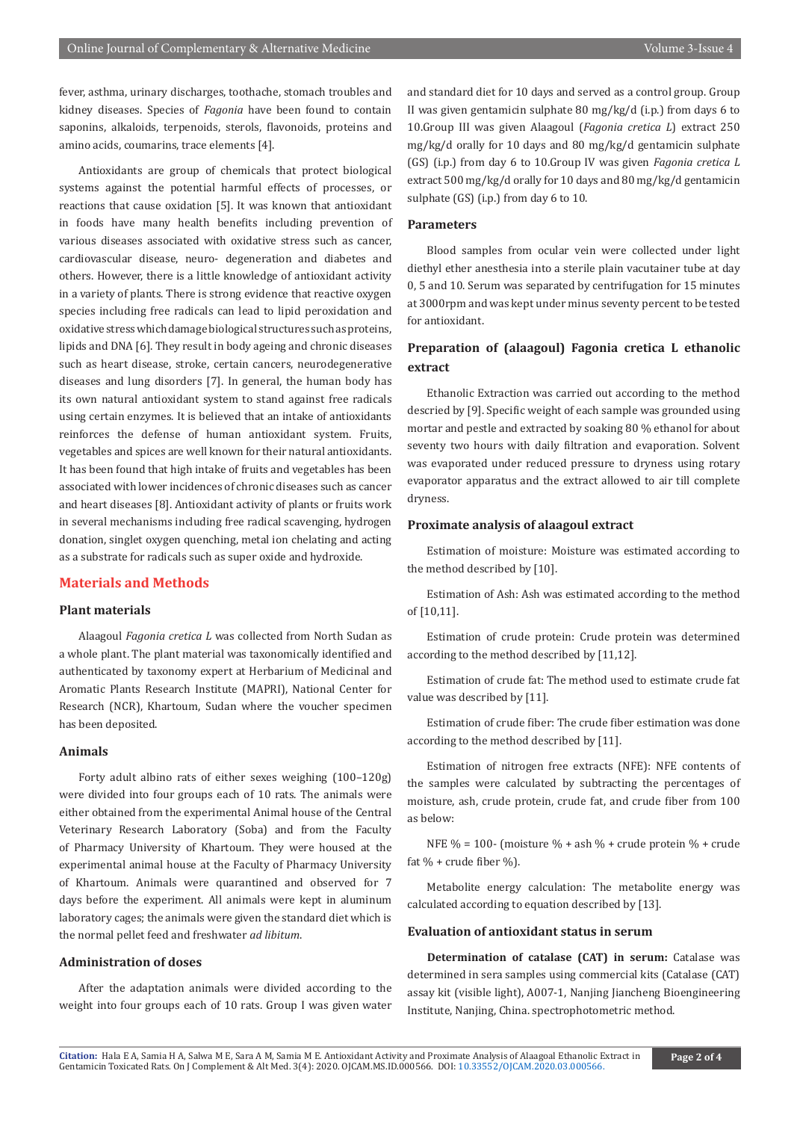fever, asthma, urinary discharges, toothache, stomach troubles and kidney diseases. Species of *Fagonia* have been found to contain saponins, alkaloids, terpenoids, sterols, flavonoids, proteins and amino acids, coumarins, trace elements [4].

Antioxidants are group of chemicals that protect biological systems against the potential harmful effects of processes, or reactions that cause oxidation [5]. It was known that antioxidant in foods have many health benefits including prevention of various diseases associated with oxidative stress such as cancer, cardiovascular disease, neuro- degeneration and diabetes and others. However, there is a little knowledge of antioxidant activity in a variety of plants. There is strong evidence that reactive oxygen species including free radicals can lead to lipid peroxidation and oxidative stress which damage biological structures such as proteins, lipids and DNA [6]. They result in body ageing and chronic diseases such as heart disease, stroke, certain cancers, neurodegenerative diseases and lung disorders [7]. In general, the human body has its own natural antioxidant system to stand against free radicals using certain enzymes. It is believed that an intake of antioxidants reinforces the defense of human antioxidant system. Fruits, vegetables and spices are well known for their natural antioxidants. It has been found that high intake of fruits and vegetables has been associated with lower incidences of chronic diseases such as cancer and heart diseases [8]. Antioxidant activity of plants or fruits work in several mechanisms including free radical scavenging, hydrogen donation, singlet oxygen quenching, metal ion chelating and acting as a substrate for radicals such as super oxide and hydroxide.

## **Materials and Methods**

## **Plant materials**

Alaagoul *Fagonia cretica L* was collected from North Sudan as a whole plant. The plant material was taxonomically identified and authenticated by taxonomy expert at Herbarium of Medicinal and Aromatic Plants Research Institute (MAPRI), National Center for Research (NCR), Khartoum, Sudan where the voucher specimen has been deposited.

## **Animals**

Forty adult albino rats of either sexes weighing (100–120g) were divided into four groups each of 10 rats. The animals were either obtained from the experimental Animal house of the Central Veterinary Research Laboratory (Soba) and from the Faculty of Pharmacy University of Khartoum. They were housed at the experimental animal house at the Faculty of Pharmacy University of Khartoum. Animals were quarantined and observed for 7 days before the experiment. All animals were kept in aluminum laboratory cages; the animals were given the standard diet which is the normal pellet feed and freshwater *ad libitum*.

#### **Administration of doses**

After the adaptation animals were divided according to the weight into four groups each of 10 rats. Group I was given water and standard diet for 10 days and served as a control group. Group II was given gentamicin sulphate 80 mg/kg/d (i.p.) from days 6 to 10.Group III was given Alaagoul (*Fagonia cretica L*) extract 250 mg/kg/d orally for 10 days and 80 mg/kg/d gentamicin sulphate (GS) (i.p.) from day 6 to 10.Group IV was given *Fagonia cretica L* extract 500 mg/kg/d orally for 10 days and 80 mg/kg/d gentamicin sulphate (GS) (i.p.) from day 6 to 10.

#### **Parameters**

Blood samples from ocular vein were collected under light diethyl ether anesthesia into a sterile plain vacutainer tube at day 0, 5 and 10. Serum was separated by centrifugation for 15 minutes at 3000rpm and was kept under minus seventy percent to be tested for antioxidant.

## **Preparation of (alaagoul) Fagonia cretica L ethanolic extract**

Ethanolic Extraction was carried out according to the method descried by [9]. Specific weight of each sample was grounded using mortar and pestle and extracted by soaking 80 % ethanol for about seventy two hours with daily filtration and evaporation. Solvent was evaporated under reduced pressure to dryness using rotary evaporator apparatus and the extract allowed to air till complete dryness.

#### **Proximate analysis of alaagoul extract**

Estimation of moisture: Moisture was estimated according to the method described by [10].

Estimation of Ash: Ash was estimated according to the method of [10,11].

Estimation of crude protein: Crude protein was determined according to the method described by [11,12].

Estimation of crude fat: The method used to estimate crude fat value was described by [11].

Estimation of crude fiber: The crude fiber estimation was done according to the method described by [11].

Estimation of nitrogen free extracts (NFE): NFE contents of the samples were calculated by subtracting the percentages of moisture, ash, crude protein, crude fat, and crude fiber from 100 as below:

NFE % = 100- (moisture % + ash % + crude protein % + crude fat  $%$  + crude fiber  $%$ ).

Metabolite energy calculation: The metabolite energy was calculated according to equation described by [13].

## **Evaluation of antioxidant status in serum**

**Determination of catalase (CAT) in serum:** Catalase was determined in sera samples using commercial kits (Catalase (CAT) assay kit (visible light), A007-1, Nanjing Jiancheng Bioengineering Institute, Nanjing, China. spectrophotometric method.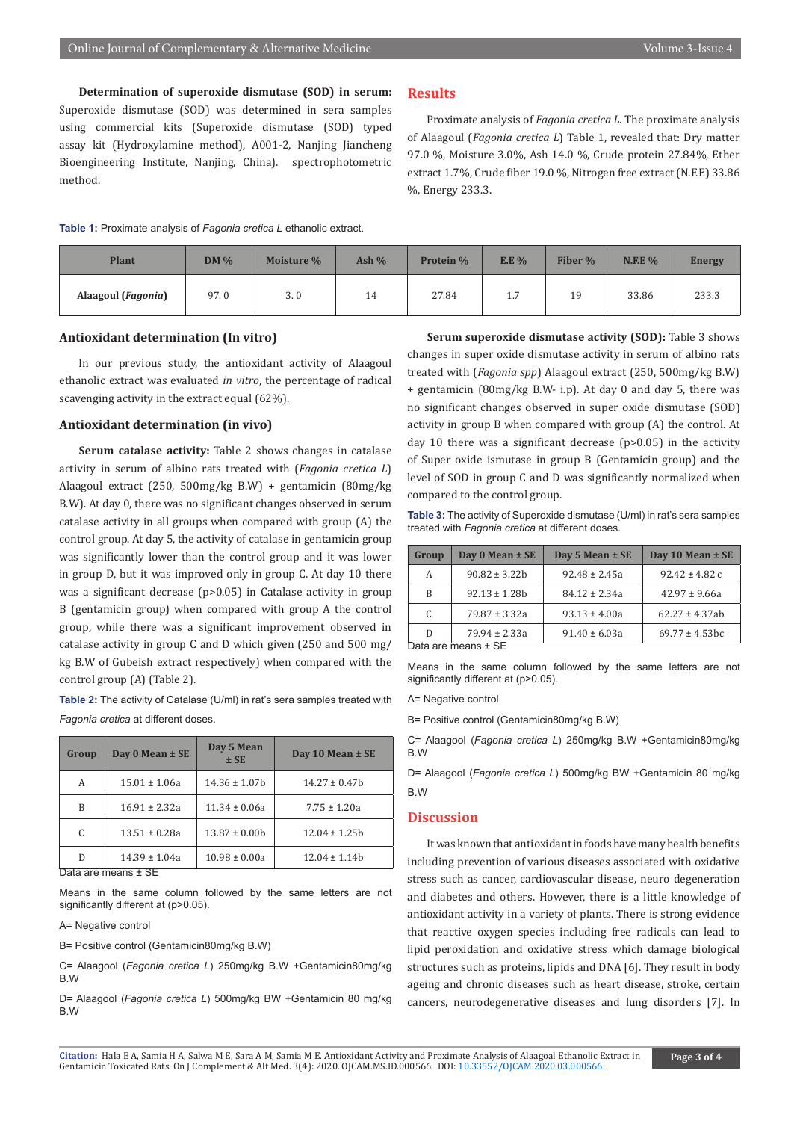**Determination of superoxide dismutase (SOD) in serum:** Superoxide dismutase (SOD) was determined in sera samples using commercial kits (Superoxide dismutase (SOD) typed assay kit (Hydroxylamine method), A001-2, Nanjing Jiancheng Bioengineering Institute, Nanjing, China). spectrophotometric method.

## **Results**

Proximate analysis of *Fagonia cretica L*. The proximate analysis of Alaagoul (*Fagonia cretica L*) Table 1, revealed that: Dry matter 97.0 %, Moisture 3.0%, Ash 14.0 %, Crude protein 27.84%, Ether extract 1.7%, Crude fiber 19.0 %, Nitrogen free extract (N.F.E) 33.86 %, Energy 233.3.

| <b>Table 1:</b> Proximate analysis of Fagonia cretica L ethanolic extract. |
|----------------------------------------------------------------------------|
|----------------------------------------------------------------------------|

| <b>Plant</b>       | $DM\%$ | Moisture % | Ash $%$ | Protein % | E.E %       | Fiber % | $N.E. E\%$ | <b>Energy</b> |
|--------------------|--------|------------|---------|-----------|-------------|---------|------------|---------------|
| Alaagoul (Fagonia) | 97.0   | 3.0        | 14      | 27.84     | . 7<br>نبلد | 19      | 33.86      | 233.3         |

## **Antioxidant determination (In vitro)**

In our previous study, the antioxidant activity of Alaagoul ethanolic extract was evaluated *in vitro*, the percentage of radical scavenging activity in the extract equal (62%).

## **Antioxidant determination (in vivo)**

**Serum catalase activity:** Table 2 shows changes in catalase activity in serum of albino rats treated with (*Fagonia cretica L*) Alaagoul extract (250, 500mg/kg B.W) + gentamicin (80mg/kg B.W). At day 0, there was no significant changes observed in serum catalase activity in all groups when compared with group (A) the control group. At day 5, the activity of catalase in gentamicin group was significantly lower than the control group and it was lower in group D, but it was improved only in group C. At day 10 there was a significant decrease (p>0.05) in Catalase activity in group B (gentamicin group) when compared with group A the control group, while there was a significant improvement observed in catalase activity in group C and D which given (250 and 500 mg/ kg B.W of Gubeish extract respectively) when compared with the control group (A) (Table 2).

**Table 2:** The activity of Catalase (U/ml) in rat's sera samples treated with *Fagonia cretica* at different doses.

| Group | Day 5 Mean<br>Day 0 Mean ± SE<br>$±$ SE |                    | Day 10 Mean $\pm$ SE |
|-------|-----------------------------------------|--------------------|----------------------|
| A     | $15.01 \pm 1.06a$                       | $14.36 \pm 1.07$ b | $14.27 \pm 0.47$     |
| B     | $16.91 \pm 2.32a$                       | $11.34 \pm 0.06a$  | $7.75 \pm 1.20a$     |
| C     | $13.51 \pm 0.28a$                       | $13.87 \pm 0.00b$  | $12.04 \pm 1.25b$    |
| D     | $14.39 \pm 1.04a$                       | $10.98 \pm 0.00a$  | $12.04 \pm 1.14h$    |

Data are means ± SE

Means in the same column followed by the same letters are not significantly different at (p>0.05).

#### A= Negative control

B= Positive control (Gentamicin80mg/kg B.W)

C= Alaagool (*Fagonia cretica L*) 250mg/kg B.W +Gentamicin80mg/kg B.W

D= Alaagool (*Fagonia cretica L*) 500mg/kg BW +Gentamicin 80 mg/kg B.W

**Serum superoxide dismutase activity (SOD):** Table 3 shows changes in super oxide dismutase activity in serum of albino rats treated with (*Fagonia spp*) Alaagoul extract (250, 500mg/kg B.W) + gentamicin (80mg/kg B.W- i.p). At day 0 and day 5, there was no significant changes observed in super oxide dismutase (SOD) activity in group B when compared with group (A) the control. At day 10 there was a significant decrease (p>0.05) in the activity of Super oxide ismutase in group B (Gentamicin group) and the level of SOD in group C and D was significantly normalized when compared to the control group.

**Table 3:** The activity of Superoxide dismutase (U/ml) in rat's sera samples treated with *Fagonia cretica* at different doses.

| Group               | Day 0 Mean ± SE   | Day 5 Mean ± SE   | Day 10 Mean ± SE    |  |  |
|---------------------|-------------------|-------------------|---------------------|--|--|
| A                   | $90.82 \pm 3.22b$ | $92.48 \pm 2.45a$ | $92.42 \pm 4.82$ c  |  |  |
| R                   | $92.13 \pm 1.28b$ | $84.12 \pm 2.34a$ | $42.97 \pm 9.66a$   |  |  |
| C                   | $79.87 \pm 3.32a$ | $93.13 \pm 4.00a$ | $62.27 \pm 4.37$ ab |  |  |
| D                   | $79.94 \pm 2.33a$ | $91.40 \pm 6.03a$ | $69.77 \pm 4.53$ bc |  |  |
| Data are means ± SE |                   |                   |                     |  |  |

Means in the same column followed by the same letters are not significantly different at (p>0.05).

A= Negative control

B= Positive control (Gentamicin80mg/kg B.W)

C= Alaagool (*Fagonia cretica L*) 250mg/kg B.W +Gentamicin80mg/kg B.W

D= Alaagool (*Fagonia cretica L*) 500mg/kg BW +Gentamicin 80 mg/kg B.W

#### **Discussion**

It was known that antioxidant in foods have many health benefits including prevention of various diseases associated with oxidative stress such as cancer, cardiovascular disease, neuro degeneration and diabetes and others. However, there is a little knowledge of antioxidant activity in a variety of plants. There is strong evidence that reactive oxygen species including free radicals can lead to lipid peroxidation and oxidative stress which damage biological structures such as proteins, lipids and DNA [6]. They result in body ageing and chronic diseases such as heart disease, stroke, certain cancers, neurodegenerative diseases and lung disorders [7]. In